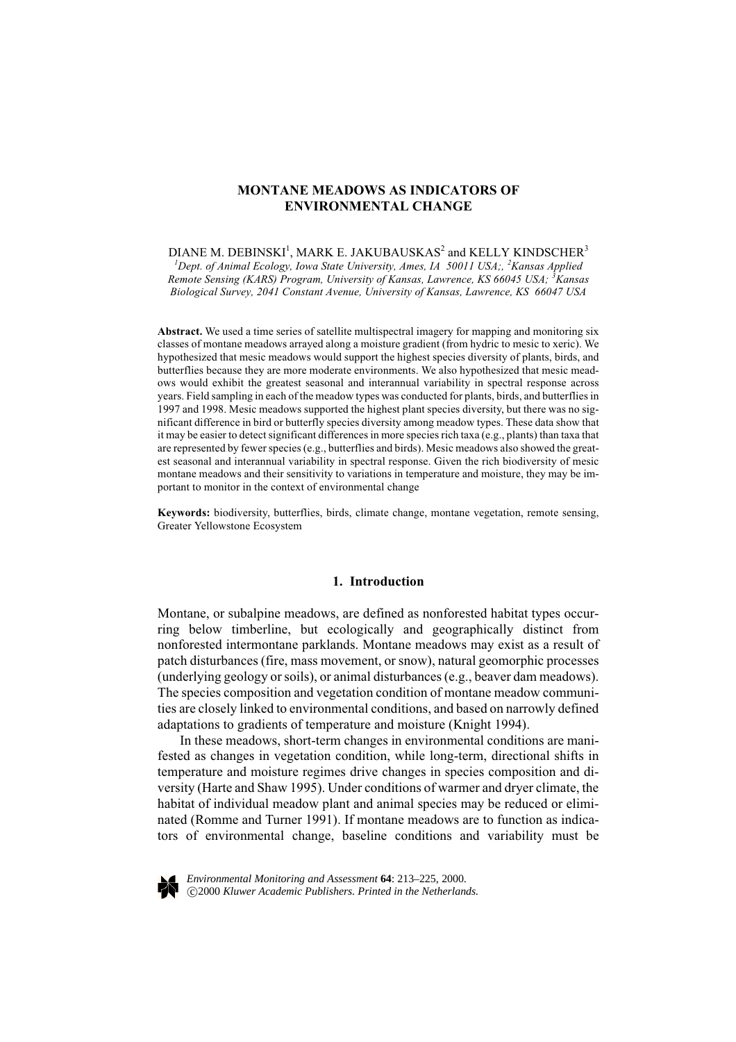# **MONTANE MEADOWS AS INDICATORS OF ENVIRONMENTAL CHANGE**

DIANE M. DEBINSKI $^{\rm l}$ , MARK E. JAKUBAUSKAS $^{\rm 2}$  and KELLY KINDSCHER $^{\rm 3}$ *1 Dept. of Animal Ecology, Iowa State University, Ames, IA 50011 USA;, <sup>2</sup> Kansas Applied Remote Sensing (KARS) Program, University of Kansas, Lawrence, KS 66045 USA; <sup>3</sup> Kansas Biological Survey, 2041 Constant Avenue, University of Kansas, Lawrence, KS 66047 USA*

**Abstract.** We used a time series of satellite multispectral imagery for mapping and monitoring six classes of montane meadows arrayed along a moisture gradient (from hydric to mesic to xeric). We hypothesized that mesic meadows would support the highest species diversity of plants, birds, and butterflies because they are more moderate environments. We also hypothesized that mesic meadows would exhibit the greatest seasonal and interannual variability in spectral response across years. Field sampling in each of the meadow types was conducted for plants, birds, and butterflies in 1997 and 1998. Mesic meadows supported the highest plant species diversity, but there was no significant difference in bird or butterfly species diversity among meadow types. These data show that it may be easier to detect significant differences in more species rich taxa (e.g., plants) than taxa that are represented by fewer species (e.g., butterflies and birds). Mesic meadows also showed the greatest seasonal and interannual variability in spectral response. Given the rich biodiversity of mesic montane meadows and their sensitivity to variations in temperature and moisture, they may be important to monitor in the context of environmental change

**Keywords:** biodiversity, butterflies, birds, climate change, montane vegetation, remote sensing, Greater Yellowstone Ecosystem

### **1. Introduction**

Montane, or subalpine meadows, are defined as nonforested habitat types occurring below timberline, but ecologically and geographically distinct from nonforested intermontane parklands. Montane meadows may exist as a result of patch disturbances (fire, mass movement, or snow), natural geomorphic processes (underlying geology or soils), or animal disturbances (e.g., beaver dam meadows). The species composition and vegetation condition of montane meadow communities are closely linked to environmental conditions, and based on narrowly defined adaptations to gradients of temperature and moisture (Knight 1994).

In these meadows, short-term changes in environmental conditions are manifested as changes in vegetation condition, while long-term, directional shifts in temperature and moisture regimes drive changes in species composition and diversity (Harte and Shaw 1995). Under conditions of warmer and dryer climate, the habitat of individual meadow plant and animal species may be reduced or eliminated (Romme and Turner 1991). If montane meadows are to function as indicators of environmental change, baseline conditions and variability must be



*Environmental Monitoring and Assessment* **64**: 213–225, 2000. c 2000 *Kluwer Academic Publishers. Printed in the Netherlands.*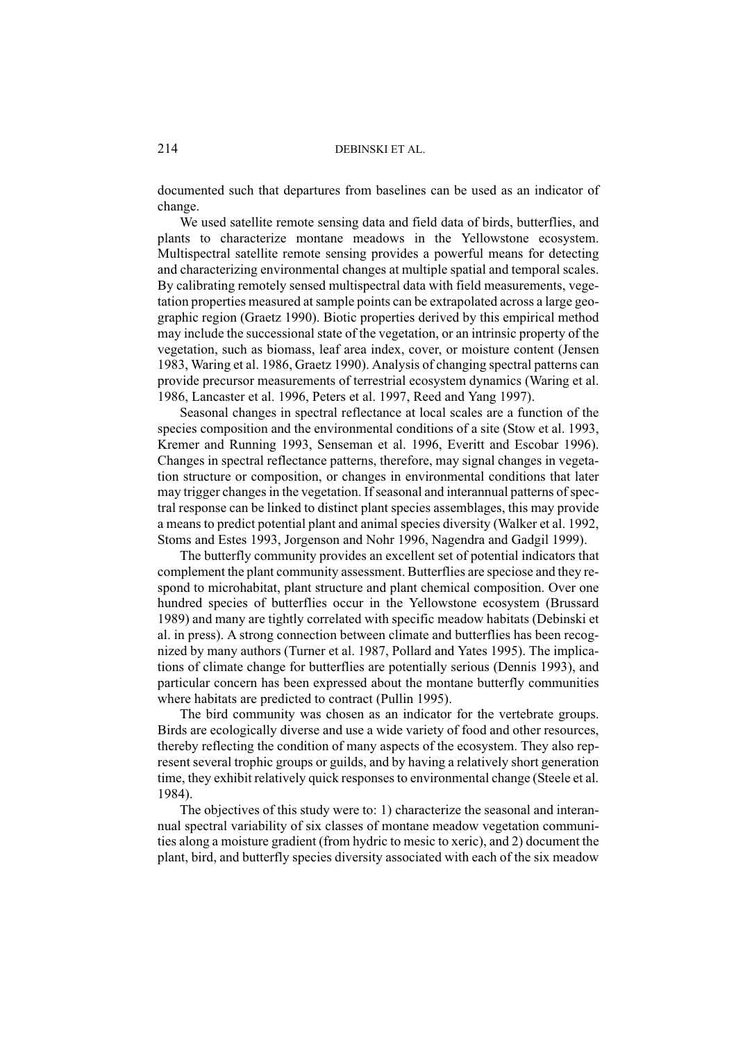documented such that departures from baselines can be used as an indicator of change.

We used satellite remote sensing data and field data of birds, butterflies, and plants to characterize montane meadows in the Yellowstone ecosystem. Multispectral satellite remote sensing provides a powerful means for detecting and characterizing environmental changes at multiple spatial and temporal scales. By calibrating remotely sensed multispectral data with field measurements, vegetation properties measured at sample points can be extrapolated across a large geographic region (Graetz 1990). Biotic properties derived by this empirical method may include the successional state of the vegetation, or an intrinsic property of the vegetation, such as biomass, leaf area index, cover, or moisture content (Jensen 1983, Waring et al. 1986, Graetz 1990). Analysis of changing spectral patterns can provide precursor measurements of terrestrial ecosystem dynamics (Waring et al. 1986, Lancaster et al. 1996, Peters et al. 1997, Reed and Yang 1997).

Seasonal changes in spectral reflectance at local scales are a function of the species composition and the environmental conditions of a site (Stow et al. 1993, Kremer and Running 1993, Senseman et al. 1996, Everitt and Escobar 1996). Changes in spectral reflectance patterns, therefore, may signal changes in vegetation structure or composition, or changes in environmental conditions that later may trigger changes in the vegetation. If seasonal and interannual patterns of spectral response can be linked to distinct plant species assemblages, this may provide a means to predict potential plant and animal species diversity (Walker et al. 1992, Stoms and Estes 1993, Jorgenson and Nohr 1996, Nagendra and Gadgil 1999).

The butterfly community provides an excellent set of potential indicators that complement the plant community assessment. Butterflies are speciose and they respond to microhabitat, plant structure and plant chemical composition. Over one hundred species of butterflies occur in the Yellowstone ecosystem (Brussard 1989) and many are tightly correlated with specific meadow habitats (Debinski et al. in press). A strong connection between climate and butterflies has been recognized by many authors (Turner et al. 1987, Pollard and Yates 1995). The implications of climate change for butterflies are potentially serious (Dennis 1993), and particular concern has been expressed about the montane butterfly communities where habitats are predicted to contract (Pullin 1995).

The bird community was chosen as an indicator for the vertebrate groups. Birds are ecologically diverse and use a wide variety of food and other resources, thereby reflecting the condition of many aspects of the ecosystem. They also represent several trophic groups or guilds, and by having a relatively short generation time, they exhibit relatively quick responses to environmental change (Steele et al. 1984).

The objectives of this study were to: 1) characterize the seasonal and interannual spectral variability of six classes of montane meadow vegetation communities along a moisture gradient (from hydric to mesic to xeric), and 2) document the plant, bird, and butterfly species diversity associated with each of the six meadow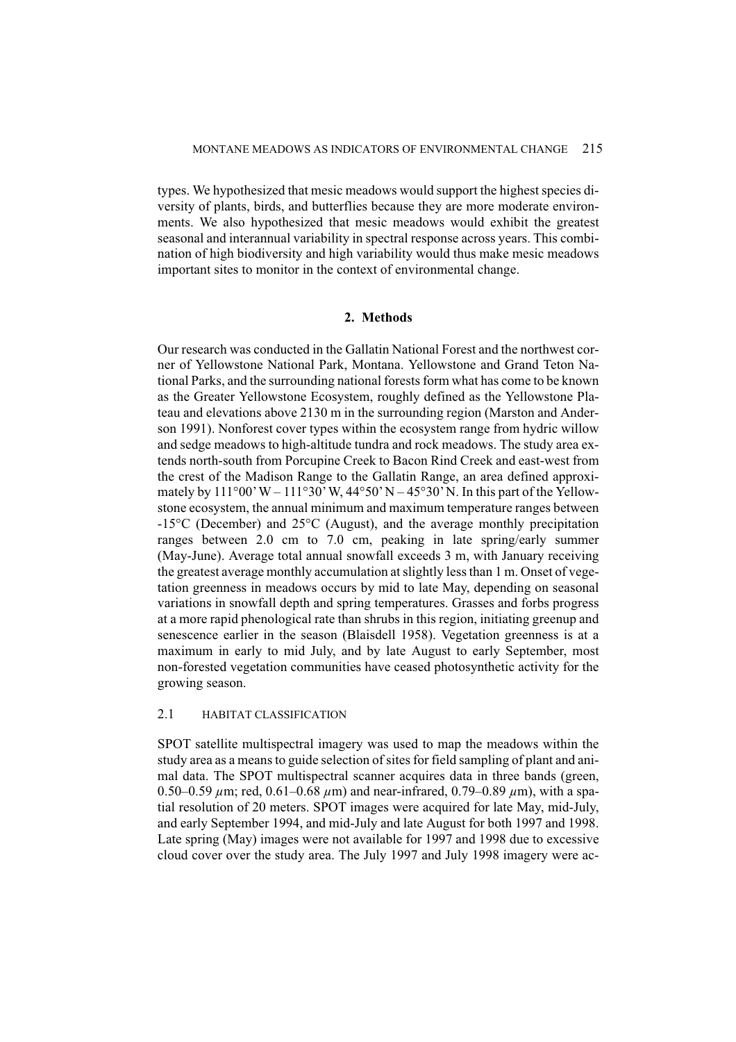types. We hypothesized that mesic meadows would support the highest species diversity of plants, birds, and butterflies because they are more moderate environments. We also hypothesized that mesic meadows would exhibit the greatest seasonal and interannual variability in spectral response across years. This combination of high biodiversity and high variability would thus make mesic meadows important sites to monitor in the context of environmental change.

## **2. Methods**

Our research was conducted in the Gallatin National Forest and the northwest corner of Yellowstone National Park, Montana. Yellowstone and Grand Teton National Parks, and the surrounding national forests form what has come to be known as the Greater Yellowstone Ecosystem, roughly defined as the Yellowstone Plateau and elevations above 2130 m in the surrounding region (Marston and Anderson 1991). Nonforest cover types within the ecosystem range from hydric willow and sedge meadows to high-altitude tundra and rock meadows. The study area extends north-south from Porcupine Creek to Bacon Rind Creek and east-west from the crest of the Madison Range to the Gallatin Range, an area defined approximately by  $111^{\circ}00'$  W –  $111^{\circ}30'$  W,  $44^{\circ}50'$  N –  $45^{\circ}30'$  N. In this part of the Yellowstone ecosystem, the annual minimum and maximum temperature ranges between -15°C (December) and 25°C (August), and the average monthly precipitation ranges between 2.0 cm to 7.0 cm, peaking in late spring/early summer (May-June). Average total annual snowfall exceeds 3 m, with January receiving the greatest average monthly accumulation at slightly less than 1 m. Onset of vegetation greenness in meadows occurs by mid to late May, depending on seasonal variations in snowfall depth and spring temperatures. Grasses and forbs progress at a more rapid phenological rate than shrubs in this region, initiating greenup and senescence earlier in the season (Blaisdell 1958). Vegetation greenness is at a maximum in early to mid July, and by late August to early September, most non-forested vegetation communities have ceased photosynthetic activity for the growing season.

## 2.1 HABITAT CLASSIFICATION

SPOT satellite multispectral imagery was used to map the meadows within the study area as a means to guide selection of sites for field sampling of plant and animal data. The SPOT multispectral scanner acquires data in three bands (green, 0.50–0.59  $\mu$ m; red, 0.61–0.68  $\mu$ m) and near-infrared, 0.79–0.89  $\mu$ m), with a spatial resolution of 20 meters. SPOT images were acquired for late May, mid-July, and early September 1994, and mid-July and late August for both 1997 and 1998. Late spring (May) images were not available for 1997 and 1998 due to excessive cloud cover over the study area. The July 1997 and July 1998 imagery were ac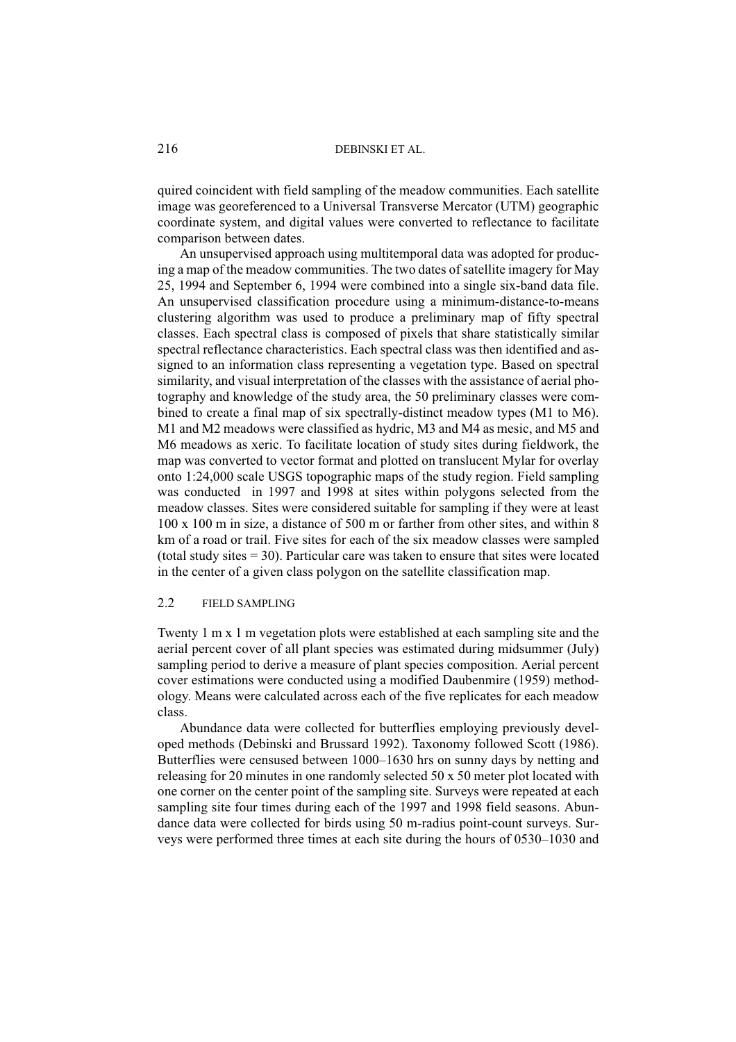quired coincident with field sampling of the meadow communities. Each satellite image was georeferenced to a Universal Transverse Mercator (UTM) geographic coordinate system, and digital values were converted to reflectance to facilitate comparison between dates.

An unsupervised approach using multitemporal data was adopted for producing a map of the meadow communities. The two dates of satellite imagery for May 25, 1994 and September 6, 1994 were combined into a single six-band data file. An unsupervised classification procedure using a minimum-distance-to-means clustering algorithm was used to produce a preliminary map of fifty spectral classes. Each spectral class is composed of pixels that share statistically similar spectral reflectance characteristics. Each spectral class was then identified and assigned to an information class representing a vegetation type. Based on spectral similarity, and visual interpretation of the classes with the assistance of aerial photography and knowledge of the study area, the 50 preliminary classes were combined to create a final map of six spectrally-distinct meadow types (M1 to M6). M1 and M2 meadows were classified as hydric, M3 and M4 as mesic, and M5 and M6 meadows as xeric. To facilitate location of study sites during fieldwork, the map was converted to vector format and plotted on translucent Mylar for overlay onto 1:24,000 scale USGS topographic maps of the study region. Field sampling was conducted in 1997 and 1998 at sites within polygons selected from the meadow classes. Sites were considered suitable for sampling if they were at least 100 x 100 m in size, a distance of 500 m or farther from other sites, and within 8 km of a road or trail. Five sites for each of the six meadow classes were sampled (total study sites = 30). Particular care was taken to ensure that sites were located in the center of a given class polygon on the satellite classification map.

## 2.2 FIELD SAMPLING

Twenty 1 m x 1 m vegetation plots were established at each sampling site and the aerial percent cover of all plant species was estimated during midsummer (July) sampling period to derive a measure of plant species composition. Aerial percent cover estimations were conducted using a modified Daubenmire (1959) methodology. Means were calculated across each of the five replicates for each meadow class.

Abundance data were collected for butterflies employing previously developed methods (Debinski and Brussard 1992). Taxonomy followed Scott (1986). Butterflies were censused between 1000–1630 hrs on sunny days by netting and releasing for 20 minutes in one randomly selected 50 x 50 meter plot located with one corner on the center point of the sampling site. Surveys were repeated at each sampling site four times during each of the 1997 and 1998 field seasons. Abundance data were collected for birds using 50 m-radius point-count surveys. Surveys were performed three times at each site during the hours of 0530–1030 and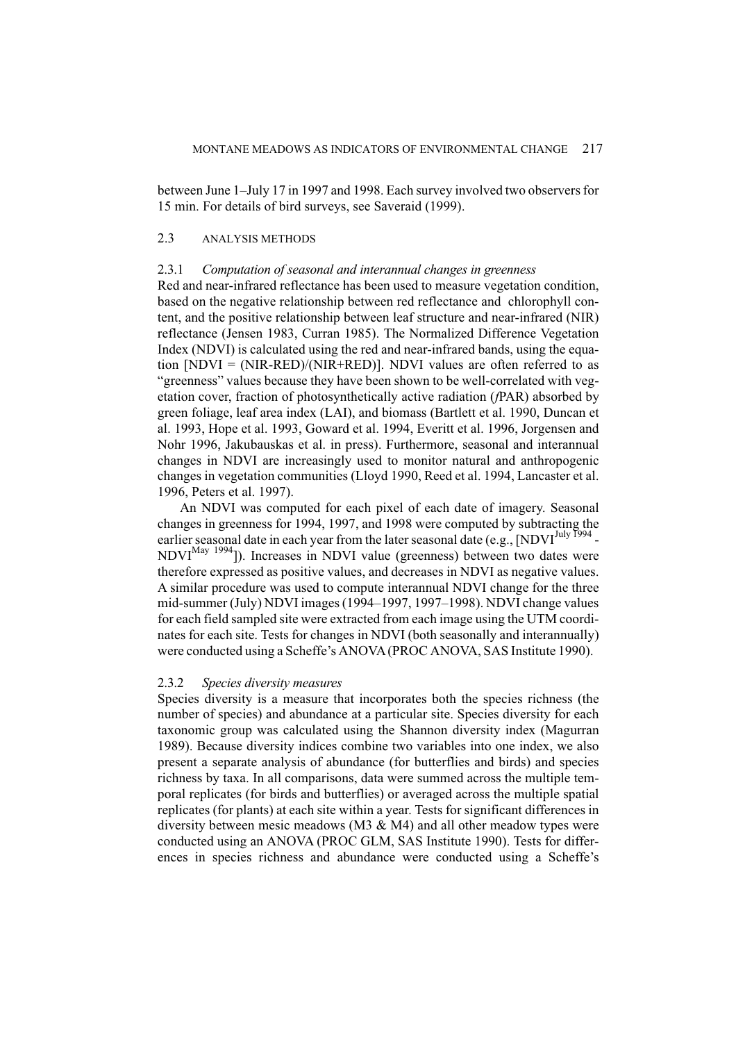between June 1–July 17 in 1997 and 1998. Each survey involved two observers for 15 min. For details of bird surveys, see Saveraid (1999).

## 2.3 ANALYSIS METHODS

### 2.3.1 *Computation of seasonal and interannual changes in greenness*

Red and near-infrared reflectance has been used to measure vegetation condition, based on the negative relationship between red reflectance and chlorophyll content, and the positive relationship between leaf structure and near-infrared (NIR) reflectance (Jensen 1983, Curran 1985). The Normalized Difference Vegetation Index (NDVI) is calculated using the red and near-infrared bands, using the equation  $[NDVI = (NIR-RED)/(NIR+RED)]$ . NDVI values are often referred to as "greenness" values because they have been shown to be well-correlated with vegetation cover, fraction of photosynthetically active radiation (*f*PAR) absorbed by green foliage, leaf area index (LAI), and biomass (Bartlett et al. 1990, Duncan et al. 1993, Hope et al. 1993, Goward et al. 1994, Everitt et al. 1996, Jorgensen and Nohr 1996, Jakubauskas et al. in press). Furthermore, seasonal and interannual changes in NDVI are increasingly used to monitor natural and anthropogenic changes in vegetation communities (Lloyd 1990, Reed et al. 1994, Lancaster et al. 1996, Peters et al. 1997).

An NDVI was computed for each pixel of each date of imagery. Seasonal changes in greenness for 1994, 1997, and 1998 were computed by subtracting the earlier seasonal date in each year from the later seasonal date (e.g.,  $[NDVI^{July\; I994} NDVI<sup>May 1994</sup>]$ ). Increases in NDVI value (greenness) between two dates were therefore expressed as positive values, and decreases in NDVI as negative values. A similar procedure was used to compute interannual NDVI change for the three mid-summer (July) NDVI images (1994–1997, 1997–1998). NDVI change values for each field sampled site were extracted from each image using the UTM coordinates for each site. Tests for changes in NDVI (both seasonally and interannually) were conducted using a Scheffe's ANOVA(PROC ANOVA, SAS Institute 1990).

#### 2.3.2 *Species diversity measures*

Species diversity is a measure that incorporates both the species richness (the number of species) and abundance at a particular site. Species diversity for each taxonomic group was calculated using the Shannon diversity index (Magurran 1989). Because diversity indices combine two variables into one index, we also present a separate analysis of abundance (for butterflies and birds) and species richness by taxa. In all comparisons, data were summed across the multiple temporal replicates (for birds and butterflies) or averaged across the multiple spatial replicates (for plants) at each site within a year. Tests for significant differences in diversity between mesic meadows ( $M3 \& M4$ ) and all other meadow types were conducted using an ANOVA (PROC GLM, SAS Institute 1990). Tests for differences in species richness and abundance were conducted using a Scheffe's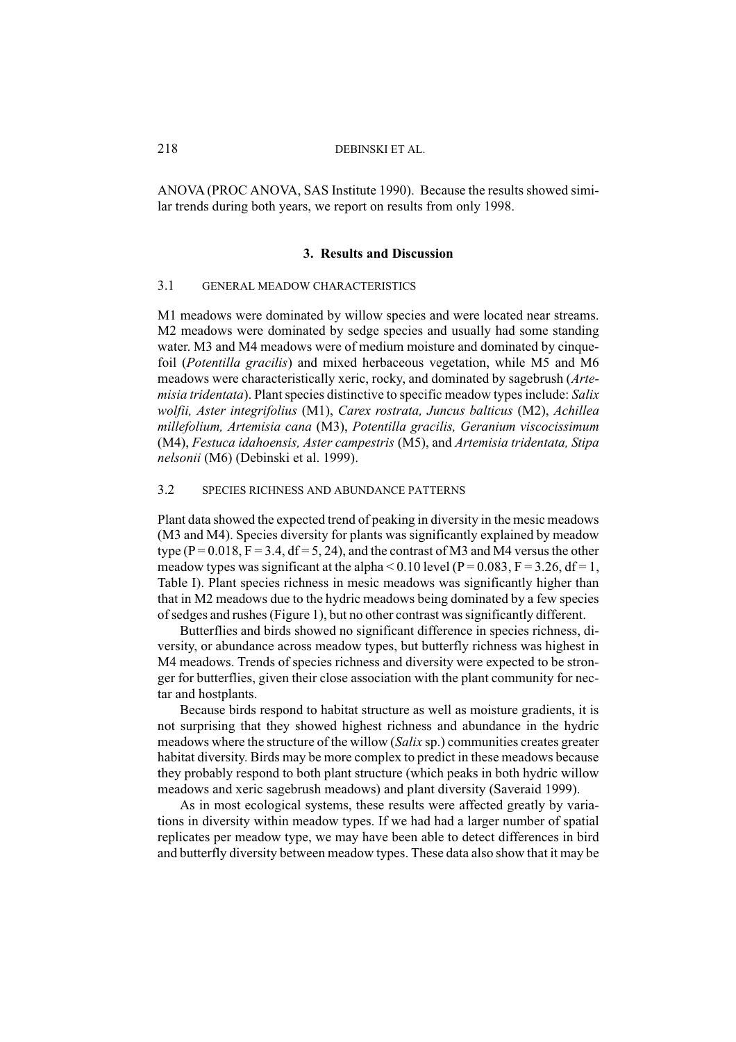ANOVA (PROC ANOVA, SAS Institute 1990). Because the results showed similar trends during both years, we report on results from only 1998.

#### **3. Results and Discussion**

## 3.1 GENERAL MEADOW CHARACTERISTICS

M1 meadows were dominated by willow species and were located near streams. M2 meadows were dominated by sedge species and usually had some standing water. M3 and M4 meadows were of medium moisture and dominated by cinquefoil (*Potentilla gracilis*) and mixed herbaceous vegetation, while M5 and M6 meadows were characteristically xeric, rocky, and dominated by sagebrush (*Artemisia tridentata*). Plant species distinctive to specific meadow types include: *Salix wolfii, Aster integrifolius* (M1), *Carex rostrata, Juncus balticus* (M2), *Achillea millefolium, Artemisia cana* (M3), *Potentilla gracilis, Geranium viscocissimum* (M4), *Festuca idahoensis, Aster campestris* (M5), and *Artemisia tridentata, Stipa nelsonii* (M6) (Debinski et al. 1999).

## 3.2 SPECIES RICHNESS AND ABUNDANCE PATTERNS

Plant data showed the expected trend of peaking in diversity in the mesic meadows (M3 and M4). Species diversity for plants was significantly explained by meadow type ( $P = 0.018$ ,  $F = 3.4$ ,  $df = 5, 24$ ), and the contrast of M3 and M4 versus the other meadow types was significant at the alpha < 0.10 level ( $P = 0.083$ ,  $F = 3.26$ , df = 1, Table I). Plant species richness in mesic meadows was significantly higher than that in M2 meadows due to the hydric meadows being dominated by a few species of sedges and rushes (Figure 1), but no other contrast was significantly different.

Butterflies and birds showed no significant difference in species richness, diversity, or abundance across meadow types, but butterfly richness was highest in M4 meadows. Trends of species richness and diversity were expected to be stronger for butterflies, given their close association with the plant community for nectar and hostplants.

Because birds respond to habitat structure as well as moisture gradients, it is not surprising that they showed highest richness and abundance in the hydric meadows where the structure of the willow (*Salix* sp.) communities creates greater habitat diversity. Birds may be more complex to predict in these meadows because they probably respond to both plant structure (which peaks in both hydric willow meadows and xeric sagebrush meadows) and plant diversity (Saveraid 1999).

As in most ecological systems, these results were affected greatly by variations in diversity within meadow types. If we had had a larger number of spatial replicates per meadow type, we may have been able to detect differences in bird and butterfly diversity between meadow types. These data also show that it may be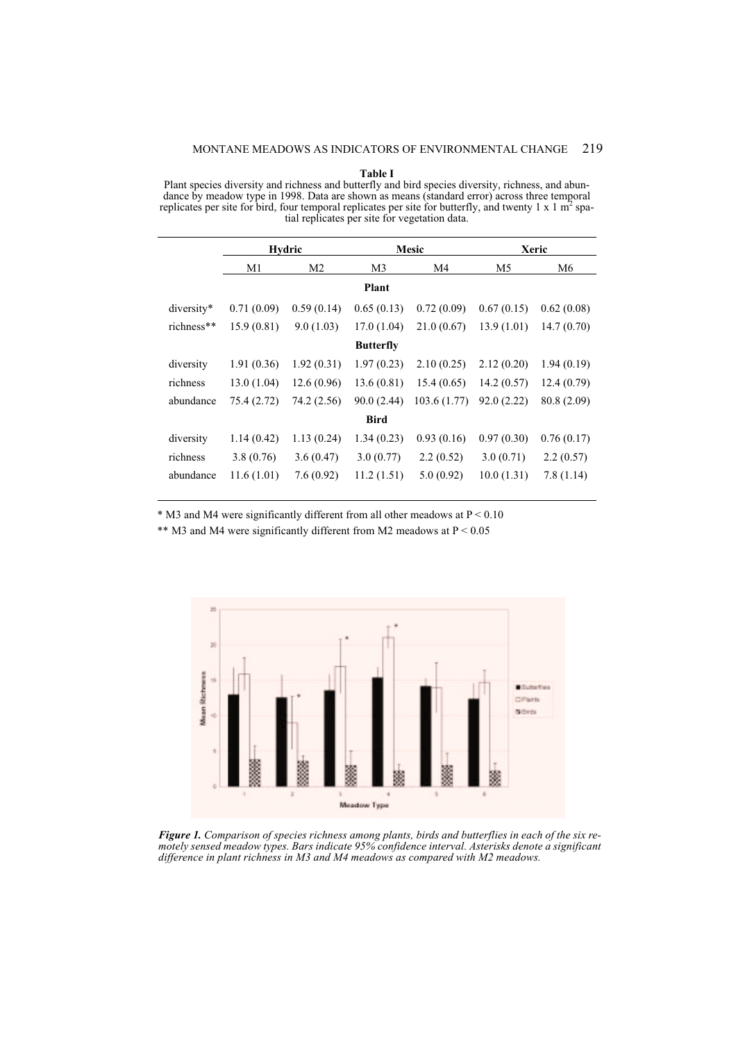**Table I**

Plant species diversity and richness and butterfly and bird species diversity, richness, and abundance by meadow type in 1998. Data are shown as means (standard error) across three temporal replicates per site for bird, four temporal replicates per site for butterfly, and twenty  $1 \times 1 \text{ m}^2$  spatial replicates per site for vegetation data.

|             | <b>Hydric</b> |             |                  | <b>Mesic</b> | Xeric      |             |  |  |  |  |  |
|-------------|---------------|-------------|------------------|--------------|------------|-------------|--|--|--|--|--|
|             | M1            | M2          | M3               | M4           | M5         | M6          |  |  |  |  |  |
|             |               |             | Plant            |              |            |             |  |  |  |  |  |
| diversity*  | 0.71(0.09)    | 0.59(0.14)  | 0.65(0.13)       | 0.72(0.09)   | 0.67(0.15) | 0.62(0.08)  |  |  |  |  |  |
| richness**  | 15.9(0.81)    | 9.0(1.03)   | 17.0(1.04)       | 21.0(0.67)   | 13.9(1.01) | 14.7(0.70)  |  |  |  |  |  |
|             |               |             | <b>Butterfly</b> |              |            |             |  |  |  |  |  |
| diversity   | 1.91(0.36)    | 1.92(0.31)  | 1.97(0.23)       | 2.10(0.25)   | 2.12(0.20) | 1.94(0.19)  |  |  |  |  |  |
| richness    | 13.0(1.04)    | 12.6(0.96)  | 13.6(0.81)       | 15.4(0.65)   | 14.2(0.57) | 12.4(0.79)  |  |  |  |  |  |
| abundance   | 75.4 (2.72)   | 74.2 (2.56) | 90.0(2.44)       | 103.6(1.77)  | 92.0(2.22) | 80.8 (2.09) |  |  |  |  |  |
| <b>Bird</b> |               |             |                  |              |            |             |  |  |  |  |  |
| diversity   | 1.14(0.42)    | 1.13(0.24)  | 1.34(0.23)       | 0.93(0.16)   | 0.97(0.30) | 0.76(0.17)  |  |  |  |  |  |
| richness    | 3.8(0.76)     | 3.6(0.47)   | 3.0(0.77)        | 2.2(0.52)    | 3.0(0.71)  | 2.2(0.57)   |  |  |  |  |  |
| abundance   | 11.6(1.01)    | 7.6(0.92)   | 11.2(1.51)       | 5.0(0.92)    | 10.0(1.31) | 7.8(1.14)   |  |  |  |  |  |

\* M3 and M4 were significantly different from all other meadows at P < 0.10

\*\* M3 and M4 were significantly different from M2 meadows at  $P < 0.05$ 



*Figure 1. Comparison of species richness among plants, birds and butterflies in each of the six remotely sensed meadow types. Bars indicate 95% confidence interval. Asterisks denote a significant difference in plant richness in M3 and M4 meadows as compared with M2 meadows.*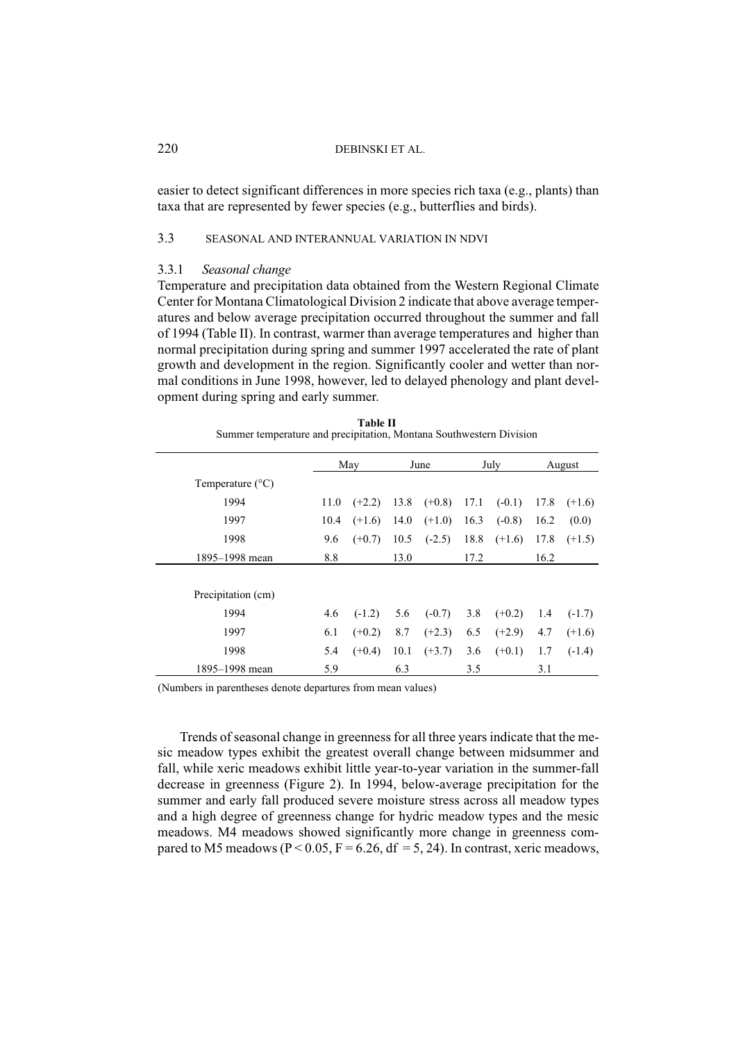easier to detect significant differences in more species rich taxa (e.g., plants) than taxa that are represented by fewer species (e.g., butterflies and birds).

# 3.3 SEASONAL AND INTERANNUAL VARIATION IN NDVI

#### 3.3.1 *Seasonal change*

Temperature and precipitation data obtained from the Western Regional Climate Center for Montana Climatological Division 2 indicate that above average temperatures and below average precipitation occurred throughout the summer and fall of 1994 (Table II). In contrast, warmer than average temperatures and higher than normal precipitation during spring and summer 1997 accelerated the rate of plant growth and development in the region. Significantly cooler and wetter than normal conditions in June 1998, however, led to delayed phenology and plant development during spring and early summer.

| <b>Table II</b> |                                                                     |  |  |  |  |  |  |  |  |
|-----------------|---------------------------------------------------------------------|--|--|--|--|--|--|--|--|
|                 | Summer temperature and precipitation, Montana Southwestern Division |  |  |  |  |  |  |  |  |

| May  |          | June |          | July |          | August |          |
|------|----------|------|----------|------|----------|--------|----------|
|      |          |      |          |      |          |        |          |
| 11.0 | $(+2.2)$ | 13.8 | $(+0.8)$ | 17.1 | $(-0.1)$ | 17.8   | $(+1.6)$ |
| 10.4 | $(+1.6)$ | 14.0 | $(+1.0)$ | 16.3 | $(-0.8)$ | 16.2   | (0.0)    |
| 9.6  | $(+0.7)$ | 10.5 | $(-2.5)$ | 18.8 | $(+1.6)$ | 17.8   | $(+1.5)$ |
| 8.8  |          | 13.0 |          | 17.2 |          | 16.2   |          |
|      |          |      |          |      |          |        |          |
|      |          |      |          |      |          |        |          |
| 4.6  | $(-1.2)$ | 5.6  | $(-0.7)$ | 3.8  | $(+0.2)$ | 1.4    | $(-1.7)$ |
| 6.1  | $(+0.2)$ | 8.7  | $(+2.3)$ | 6.5  | $(+2.9)$ | 4.7    | $(+1.6)$ |
| 5.4  | $(+0.4)$ | 10.1 | $(+3.7)$ | 3.6  | $(+0.1)$ | 1.7    | $(-1.4)$ |
| 5.9  |          | 6.3  |          | 3.5  |          | 3.1    |          |
|      |          |      |          |      |          |        |          |

(Numbers in parentheses denote departures from mean values)

Trends of seasonal change in greenness for all three years indicate that the mesic meadow types exhibit the greatest overall change between midsummer and fall, while xeric meadows exhibit little year-to-year variation in the summer-fall decrease in greenness (Figure 2). In 1994, below-average precipitation for the summer and early fall produced severe moisture stress across all meadow types and a high degree of greenness change for hydric meadow types and the mesic meadows. M4 meadows showed significantly more change in greenness compared to M5 meadows ( $P < 0.05$ ,  $F = 6.26$ , df = 5, 24). In contrast, xeric meadows,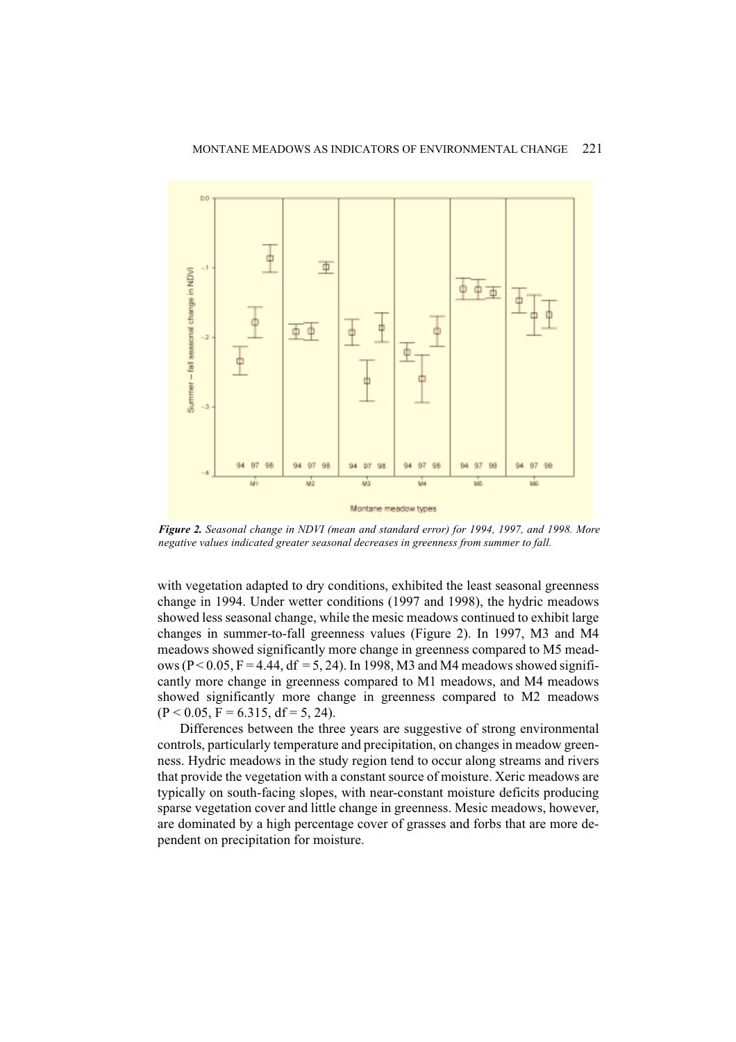

*Figure 2. Seasonal change in NDVI (mean and standard error) for 1994, 1997, and 1998. More negative values indicated greater seasonal decreases in greenness from summer to fall.*

with vegetation adapted to dry conditions, exhibited the least seasonal greenness change in 1994. Under wetter conditions (1997 and 1998), the hydric meadows showed less seasonal change, while the mesic meadows continued to exhibit large changes in summer-to-fall greenness values (Figure 2). In 1997, M3 and M4 meadows showed significantly more change in greenness compared to M5 meadows ( $P < 0.05$ ,  $F = 4.44$ , df = 5, 24). In 1998, M3 and M4 meadows showed significantly more change in greenness compared to M1 meadows, and M4 meadows showed significantly more change in greenness compared to M2 meadows  $(P < 0.05, F = 6.315, df = 5, 24)$ .

Differences between the three years are suggestive of strong environmental controls, particularly temperature and precipitation, on changes in meadow greenness. Hydric meadows in the study region tend to occur along streams and rivers that provide the vegetation with a constant source of moisture. Xeric meadows are typically on south-facing slopes, with near-constant moisture deficits producing sparse vegetation cover and little change in greenness. Mesic meadows, however, are dominated by a high percentage cover of grasses and forbs that are more dependent on precipitation for moisture.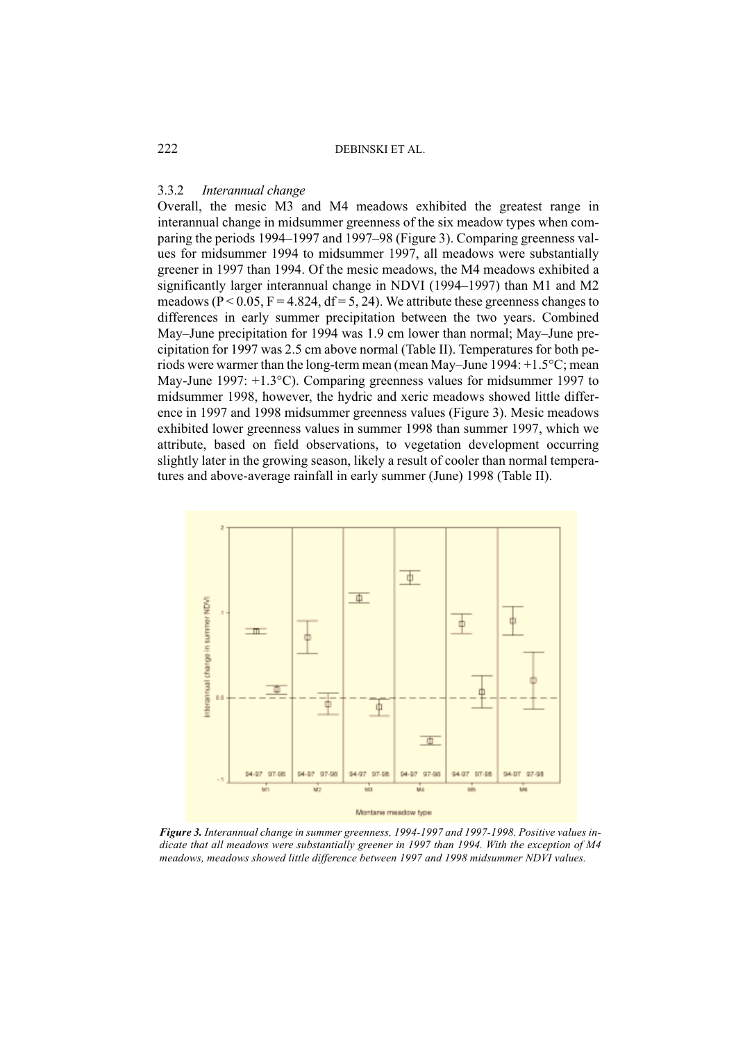### 3.3.2 *Interannual change*

Overall, the mesic M3 and M4 meadows exhibited the greatest range in interannual change in midsummer greenness of the six meadow types when comparing the periods 1994–1997 and 1997–98 (Figure 3). Comparing greenness values for midsummer 1994 to midsummer 1997, all meadows were substantially greener in 1997 than 1994. Of the mesic meadows, the M4 meadows exhibited a significantly larger interannual change in NDVI (1994–1997) than M1 and M2 meadows ( $P < 0.05$ ,  $F = 4.824$ ,  $df = 5.24$ ). We attribute these greenness changes to differences in early summer precipitation between the two years. Combined May–June precipitation for 1994 was 1.9 cm lower than normal; May–June precipitation for 1997 was 2.5 cm above normal (Table II). Temperatures for both periods were warmer than the long-term mean (mean May–June 1994: +1.5°C; mean May-June 1997: +1.3°C). Comparing greenness values for midsummer 1997 to midsummer 1998, however, the hydric and xeric meadows showed little difference in 1997 and 1998 midsummer greenness values (Figure 3). Mesic meadows exhibited lower greenness values in summer 1998 than summer 1997, which we attribute, based on field observations, to vegetation development occurring slightly later in the growing season, likely a result of cooler than normal temperatures and above-average rainfall in early summer (June) 1998 (Table II).



*Figure 3. Interannual change in summer greenness, 1994-1997 and 1997-1998. Positive values indicate that all meadows were substantially greener in 1997 than 1994. With the exception of M4 meadows, meadows showed little difference between 1997 and 1998 midsummer NDVI values.*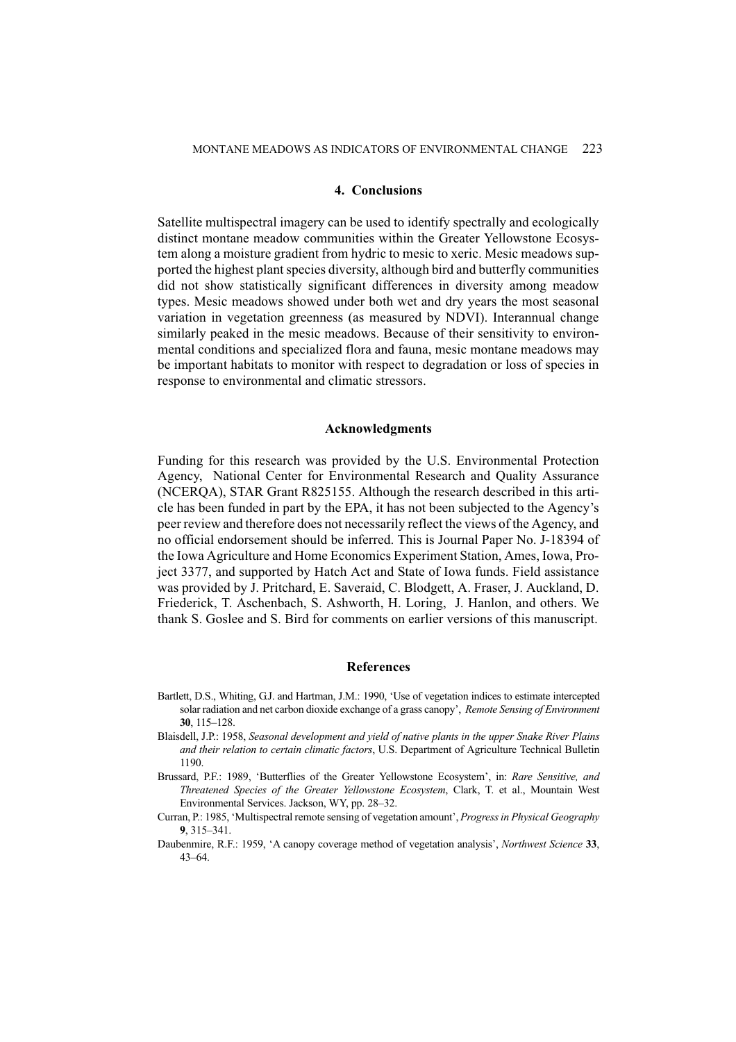#### **4. Conclusions**

Satellite multispectral imagery can be used to identify spectrally and ecologically distinct montane meadow communities within the Greater Yellowstone Ecosystem along a moisture gradient from hydric to mesic to xeric. Mesic meadows supported the highest plant species diversity, although bird and butterfly communities did not show statistically significant differences in diversity among meadow types. Mesic meadows showed under both wet and dry years the most seasonal variation in vegetation greenness (as measured by NDVI). Interannual change similarly peaked in the mesic meadows. Because of their sensitivity to environmental conditions and specialized flora and fauna, mesic montane meadows may be important habitats to monitor with respect to degradation or loss of species in response to environmental and climatic stressors.

#### **Acknowledgments**

Funding for this research was provided by the U.S. Environmental Protection Agency, National Center for Environmental Research and Quality Assurance (NCERQA), STAR Grant R825155. Although the research described in this article has been funded in part by the EPA, it has not been subjected to the Agency's peer review and therefore does not necessarily reflect the views of the Agency, and no official endorsement should be inferred. This is Journal Paper No. J-18394 of the Iowa Agriculture and Home Economics Experiment Station, Ames, Iowa, Project 3377, and supported by Hatch Act and State of Iowa funds. Field assistance was provided by J. Pritchard, E. Saveraid, C. Blodgett, A. Fraser, J. Auckland, D. Friederick, T. Aschenbach, S. Ashworth, H. Loring, J. Hanlon, and others. We thank S. Goslee and S. Bird for comments on earlier versions of this manuscript.

#### **References**

- Bartlett, D.S., Whiting, G.J. and Hartman, J.M.: 1990, 'Use of vegetation indices to estimate intercepted solar radiation and net carbon dioxide exchange of a grass canopy', *Remote Sensing of Environment* **30**, 115–128.
- Blaisdell, J.P.: 1958, *Seasonal development and yield of native plants in the upper Snake River Plains and their relation to certain climatic factors*, U.S. Department of Agriculture Technical Bulletin 1190.
- Brussard, P.F.: 1989, 'Butterflies of the Greater Yellowstone Ecosystem', in: *Rare Sensitive, and Threatened Species of the Greater Yellowstone Ecosystem*, Clark, T. et al., Mountain West Environmental Services. Jackson, WY, pp. 28–32.
- Curran, P.: 1985, 'Multispectral remote sensing of vegetation amount', *Progress in Physical Geography* **9**, 315–341.
- Daubenmire, R.F.: 1959, 'A canopy coverage method of vegetation analysis', *Northwest Science* **33**, 43–64.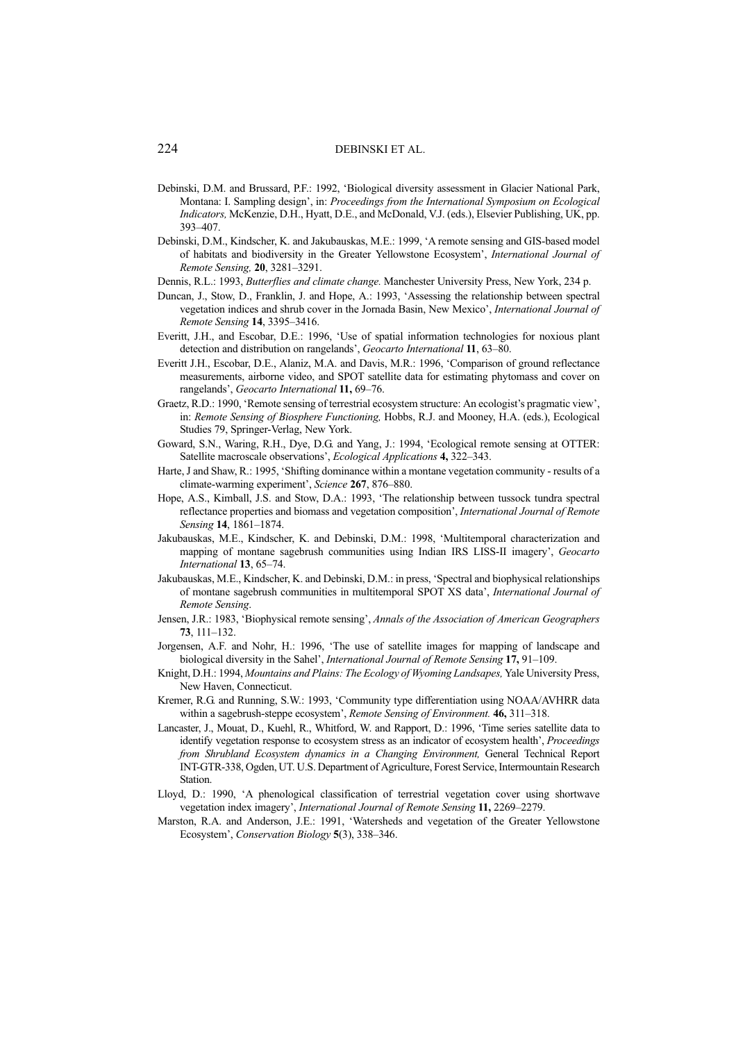- Debinski, D.M. and Brussard, P.F.: 1992, 'Biological diversity assessment in Glacier National Park, Montana: I. Sampling design', in: *Proceedings from the International Symposium on Ecological Indicators,* McKenzie, D.H., Hyatt, D.E., and McDonald, V.J. (eds.), Elsevier Publishing, UK, pp. 393–407.
- Debinski, D.M., Kindscher, K. and Jakubauskas, M.E.: 1999, 'A remote sensing and GIS-based model of habitats and biodiversity in the Greater Yellowstone Ecosystem', *International Journal of Remote Sensing,* **20**, 3281–3291.
- Dennis, R.L.: 1993, *Butterflies and climate change.* Manchester University Press, New York, 234 p.
- Duncan, J., Stow, D., Franklin, J. and Hope, A.: 1993, 'Assessing the relationship between spectral vegetation indices and shrub cover in the Jornada Basin, New Mexico', *International Journal of Remote Sensing* **14**, 3395–3416.
- Everitt, J.H., and Escobar, D.E.: 1996, 'Use of spatial information technologies for noxious plant detection and distribution on rangelands', *Geocarto International* **11**, 63–80.
- Everitt J.H., Escobar, D.E., Alaniz, M.A. and Davis, M.R.: 1996, 'Comparison of ground reflectance measurements, airborne video, and SPOT satellite data for estimating phytomass and cover on rangelands', *Geocarto International* **11,** 69–76.
- Graetz, R.D.: 1990, 'Remote sensing of terrestrial ecosystem structure: An ecologist's pragmatic view', in: *Remote Sensing of Biosphere Functioning,* Hobbs, R.J. and Mooney, H.A. (eds.), Ecological Studies 79, Springer-Verlag, New York.
- Goward, S.N., Waring, R.H., Dye, D.G. and Yang, J.: 1994, 'Ecological remote sensing at OTTER: Satellite macroscale observations', *Ecological Applications* **4,** 322–343.
- Harte, J and Shaw, R.: 1995, 'Shifting dominance within a montane vegetation community results of a climate-warming experiment', *Science* **267**, 876–880.
- Hope, A.S., Kimball, J.S. and Stow, D.A.: 1993, 'The relationship between tussock tundra spectral reflectance properties and biomass and vegetation composition', *International Journal of Remote Sensing* **14**, 1861–1874.
- Jakubauskas, M.E., Kindscher, K. and Debinski, D.M.: 1998, 'Multitemporal characterization and mapping of montane sagebrush communities using Indian IRS LISS-II imagery', *Geocarto International* **13**, 65–74.
- Jakubauskas, M.E., Kindscher, K. and Debinski, D.M.: in press, 'Spectral and biophysical relationships of montane sagebrush communities in multitemporal SPOT XS data', *International Journal of Remote Sensing*.
- Jensen, J.R.: 1983, 'Biophysical remote sensing', *Annals of the Association of American Geographers* **73**, 111–132.
- Jorgensen, A.F. and Nohr, H.: 1996, 'The use of satellite images for mapping of landscape and biological diversity in the Sahel', *International Journal of Remote Sensing* **17,** 91–109.
- Knight, D.H.: 1994, *Mountains and Plains: The Ecology of Wyoming Landsapes,* Yale University Press, New Haven, Connecticut.
- Kremer, R.G. and Running, S.W.: 1993, 'Community type differentiation using NOAA/AVHRR data within a sagebrush-steppe ecosystem', *Remote Sensing of Environment.* **46,** 311–318.
- Lancaster, J., Mouat, D., Kuehl, R., Whitford, W. and Rapport, D.: 1996, 'Time series satellite data to identify vegetation response to ecosystem stress as an indicator of ecosystem health', *Proceedings from Shrubland Ecosystem dynamics in a Changing Environment,* General Technical Report INT-GTR-338, Ogden, UT. U.S. Department of Agriculture, Forest Service, Intermountain Research Station.
- Lloyd, D.: 1990, 'A phenological classification of terrestrial vegetation cover using shortwave vegetation index imagery', *International Journal of Remote Sensing* **11,** 2269–2279.
- Marston, R.A. and Anderson, J.E.: 1991, 'Watersheds and vegetation of the Greater Yellowstone Ecosystem', *Conservation Biology* **5**(3), 338–346.